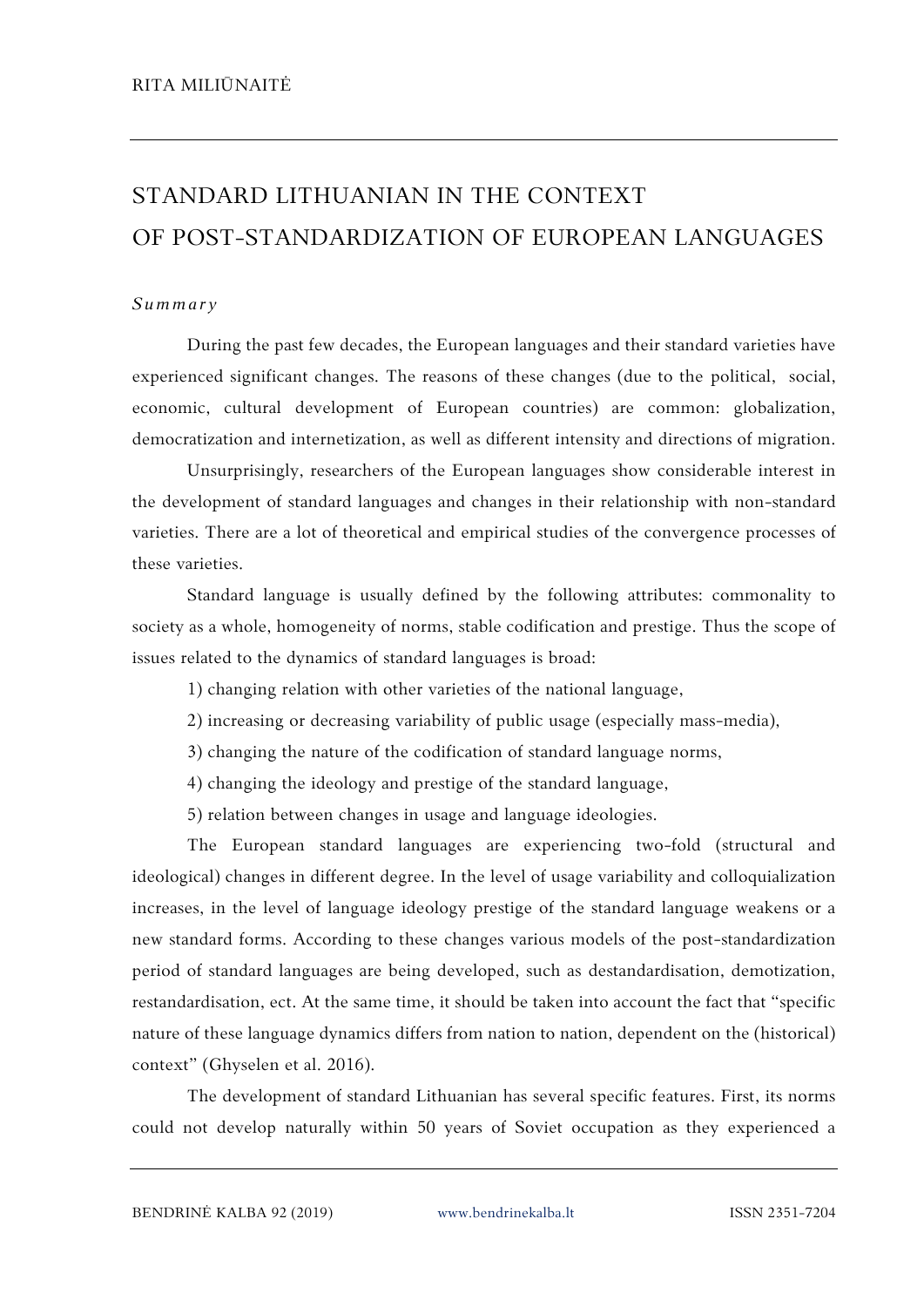## STANDARD LITHUANIAN IN THE CONTEXT OF POST-STANDARDIZATION OF EUROPEAN LANGUAGES

## *S um mary*

During the past few decades, the European languages and their standard varieties have experienced significant changes. The reasons of these changes (due to the political, social, economic, cultural development of European countries) are common: globalization, democratization and internetization, as well as different intensity and directions of migration.

Unsurprisingly, researchers of the European languages show considerable interest in the development of standard languages and changes in their relationship with non-standard varieties. There are a lot of theoretical and empirical studies of the convergence processes of these varieties.

Standard language is usually defined by the following attributes: commonality to society as a whole, homogeneity of norms, stable codification and prestige. Thus the scope of issues related to the dynamics of standard languages is broad:

1) changing relation with other varieties of the national language,

2) increasing or decreasing variability of public usage (especially mass-media),

- 3) changing the nature of the codification of standard language norms,
- 4) changing the ideology and prestige of the standard language,

5) relation between changes in usage and language ideologies.

The European standard languages are experiencing two-fold (structural and ideological) changes in different degree. In the level of usage variability and colloquialization increases, in the level of language ideology prestige of the standard language weakens or a new standard forms. According to these changes various models of the post-standardization period of standard languages are being developed, such as destandardisation, demotization, restandardisation, ect. At the same time, it should be taken into account the fact that "specific nature of these language dynamics differs from nation to nation, dependent on the (historical) context" (Ghyselen et al. 2016).

The development of standard Lithuanian has several specific features. First, its norms could not develop naturally within 50 years of Soviet occupation as they experienced a